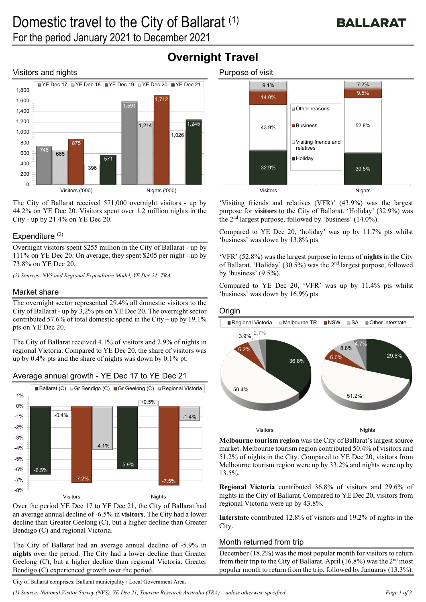### Visitors and nights



The City of Ballarat received 571,000 overnight visitors - up by 44.2% on YE Dec 20. Visitors spent over 1.2 million nights in the City - up by 21.4% on YE Dec 20.

#### Expenditure  $(2)$

Overnight visitors spent \$255 million in the City of Ballarat - up by 111% on YE Dec 20. On average, they spent \$205 per night - up by 73.8% on YE Dec 20.

*(2) Sources: NVS and Regional Expenditure Model, YE Dec 21, TRA.* 

#### Market share

The overnight sector represented 29.4% all domestic visitors to the City of Ballarat - up by 3,2% pts on YE Dec 20. The overnight sector contributed 57.6% of total domestic spend in the City – up by 19.1% pts on YE Dec 20.

The City of Ballarat received 4.1% of visitors and 2.9% of nights in regional Victoria. Compared to YE Dec 20, the share of visitors was up by 0.4% pts and the share of nights was down by 0.1% pt.





Over the period YE Dec 17 to YE Dec 21, the City of Ballarat had an average annual decline of -6.5% in **visitors**. The City had a lower decline than Greater Geelong (C), but a higher decline than Greater Bendigo (C) and regional Victoria.

The City of Ballarat had an average annual decline of -5.9% in **nights** over the period. The City had a lower decline than Greater Geelong (C), but a higher decline than regional Victoria. Greater Bendigo (C) experienced growth over the period.



'Visiting friends and relatives (VFR)' (43.9%) was the largest purpose for **visitors** to the City of Ballarat. 'Holiday' (32.9%) was the 2nd largest purpose, followed by 'business' (14.0%).

Compared to YE Dec 20, 'holiday' was up by 11.7% pts whilst 'business' was down by 13.8% pts.

'VFR' (52.8%) was the largest purpose in terms of **nights** in the City of Ballarat. 'Holiday' (30.5%) was the 2nd largest purpose, followed by 'business' (9.5%).

Compared to YE Dec 20, 'VFR' was up by 11.4% pts whilst 'business' was down by 16.9% pts.

#### **Origin**



**Melbourne tourism region** was the City of Ballarat's largest source market. Melbourne tourism region contributed 50.4% of visitors and 51.2% of nights in the City. Compared to YE Dec 20, visitors from Melbourne tourism region were up by 33.2% and nights were up by 13.5%.

**Regional Victoria** contributed 36.8% of visitors and 29.6% of nights in the City of Ballarat. Compared to YE Dec 20, visitors from regional Victoria were up by 43.8%.

**Interstate** contributed 12.8% of visitors and 19.2% of nights in the City.

#### Month returned from trip

December (18.2%) was the most popular month for visitors to return from their trip to the City of Ballarat. April  $(16.8\%)$  was the  $2<sup>nd</sup>$  most popular month to return from the trip, followed by Januaray (13.3%).

City of Ballarat comprises: Ballarat municipality / Local Government Area.

# **Overnight Travel**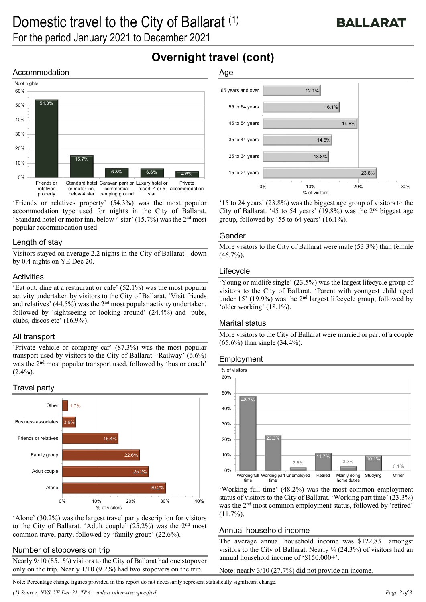## **Overnight travel (cont)**

#### Accommodation



'Friends or relatives property' (54.3%) was the most popular accommodation type used for **nights** in the City of Ballarat. 'Standard hotel or motor inn, below 4 star'  $(15.7%)$  was the  $2<sup>nd</sup>$  most popular accommodation used.

#### Length of stay

Visitors stayed on average 2.2 nights in the City of Ballarat - down by 0.4 nights on YE Dec 20.

#### **Activities**

'Eat out, dine at a restaurant or cafe' (52.1%) was the most popular activity undertaken by visitors to the City of Ballarat. 'Visit friends and relatives' (44.5%) was the  $2<sup>nd</sup>$  most popular activity undertaken, followed by 'sightseeing or looking around' (24.4%) and 'pubs, clubs, discos etc' (16.9%).

#### All transport

'Private vehicle or company car' (87.3%) was the most popular transport used by visitors to the City of Ballarat. 'Railway' (6.6%) was the 2nd most popular transport used, followed by 'bus or coach'  $(2.4\%)$ .

#### Travel party



'Alone' (30.2%) was the largest travel party description for visitors to the City of Ballarat. 'Adult couple'  $(25.2%)$  was the  $2<sup>nd</sup>$  most common travel party, followed by 'family group' (22.6%).

#### Number of stopovers on trip

Nearly 9/10 (85.1%) visitors to the City of Ballarat had one stopover only on the trip. Nearly 1/10 (9.2%) had two stopovers on the trip.

#### Age



'15 to 24 years' (23.8%) was the biggest age group of visitors to the City of Ballarat. '45 to 54 years'  $(19.8\%)$  was the 2<sup>nd</sup> biggest age group, followed by '55 to 64 years' (16.1%).

#### Gender

More visitors to the City of Ballarat were male (53.3%) than female  $(46.7\%)$ .

#### Lifecycle

'Young or midlife single' (23.5%) was the largest lifecycle group of visitors to the City of Ballarat. 'Parent with youngest child aged under 15' (19.9%) was the  $2<sup>nd</sup>$  largest lifecycle group, followed by 'older working' (18.1%).

#### Marital status

More visitors to the City of Ballarat were married or part of a couple (65.6%) than single (34.4%).

#### Employment



'Working full time' (48.2%) was the most common employment status of visitors to the City of Ballarat. 'Working part time' (23.3%) was the 2<sup>nd</sup> most common employment status, followed by 'retired'  $(11.7\%)$ .

#### Annual household income

The average annual household income was \$122,831 amongst visitors to the City of Ballarat. Nearly ¼ (24.3%) of visitors had an annual household income of '\$150,000+'.

Note: nearly 3/10 (27.7%) did not provide an income.

Note: Percentage change figures provided in this report do not necessarily represent statistically significant change.